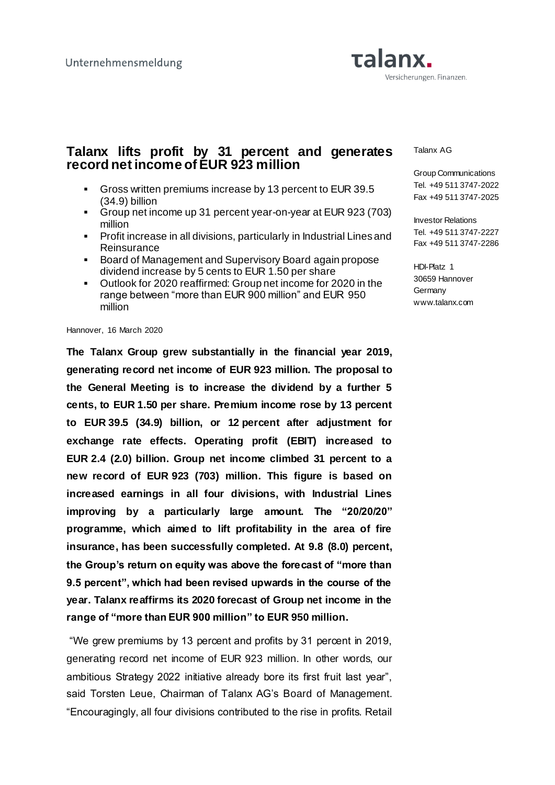# **Talanx.** Versicherungen. Finanzen.

## **Talanx lifts profit by 31 percent and generates record net income of EUR 923 million**

- Gross written premiums increase by 13 percent to EUR 39.5 (34.9) billion
- Group net income up 31 percent year-on-year at EUR 923 (703) million
- **Profit increase in all divisions, particularly in Industrial Lines and Reinsurance**
- Board of Management and Supervisory Board again propose dividend increase by 5 cents to EUR 1.50 per share
- Outlook for 2020 reaffirmed: Group net income for 2020 in the range between "more than EUR 900 million" and EUR 950 million

Hannover, 16 March 2020

**The Talanx Group grew substantially in the financial year 2019, generating record net income of EUR 923 million. The proposal to the General Meeting is to increase the dividend by a further 5 cents, to EUR 1.50 per share. Premium income rose by 13 percent to EUR 39.5 (34.9) billion, or 12 percent after adjustment for exchange rate effects. Operating profit (EBIT) increased to EUR 2.4 (2.0) billion. Group net income climbed 31 percent to a new record of EUR 923 (703) million. This figure is based on increased earnings in all four divisions, with Industrial Lines improving by a particularly large amount. The "20/20/20" programme, which aimed to lift profitability in the area of fire insurance, has been successfully completed. At 9.8 (8.0) percent, the Group's return on equity was above the forecast of "more than 9.5 percent", which had been revised upwards in the course of the year. Talanx reaffirms its 2020 forecast of Group net income in the range of "more than EUR 900 million" to EUR 950 million.**

"We grew premiums by 13 percent and profits by 31 percent in 2019, generating record net income of EUR 923 million. In other words, our ambitious Strategy 2022 initiative already bore its first fruit last year", said Torsten Leue, Chairman of Talanx AG's Board of Management. "Encouragingly, all four divisions contributed to the rise in profits. Retail

Talanx AG

Group Communications Tel. +49 511 3747-2022 Fax +49 511 3747-2025

Investor Relations Tel. +49 511 3747-2227 Fax +49 511 3747-2286

HDI-Platz 1 30659 Hannover **Germany** www.talanx.com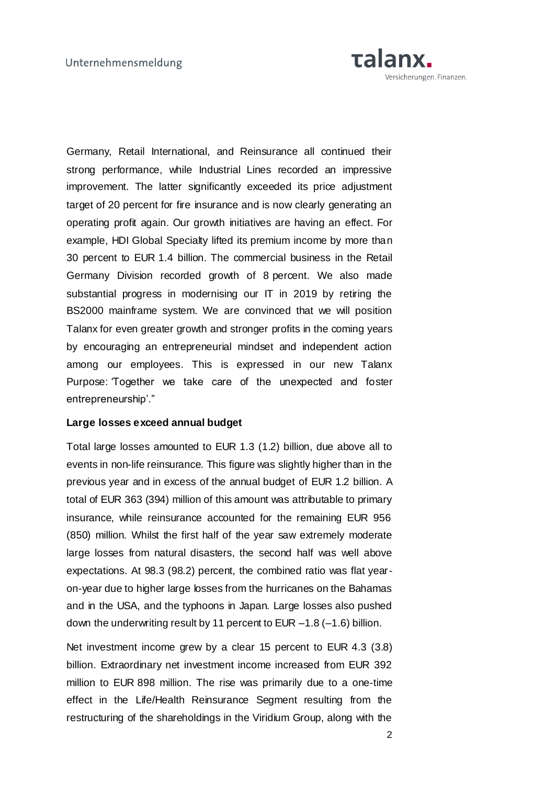

Germany, Retail International, and Reinsurance all continued their strong performance, while Industrial Lines recorded an impressive improvement. The latter significantly exceeded its price adjustment target of 20 percent for fire insurance and is now clearly generating an operating profit again. Our growth initiatives are having an effect. For example, HDI Global Specialty lifted its premium income by more than 30 percent to EUR 1.4 billion. The commercial business in the Retail Germany Division recorded growth of 8 percent. We also made substantial progress in modernising our IT in 2019 by retiring the BS2000 mainframe system. We are convinced that we will position Talanx for even greater growth and stronger profits in the coming years by encouraging an entrepreneurial mindset and independent action among our employees. This is expressed in our new Talanx Purpose: Together we take care of the unexpected and foster entrepreneurship'."

## **Large losses exceed annual budget**

Total large losses amounted to EUR 1.3 (1.2) billion, due above all to events in non-life reinsurance. This figure was slightly higher than in the previous year and in excess of the annual budget of EUR 1.2 billion. A total of EUR 363 (394) million of this amount was attributable to primary insurance, while reinsurance accounted for the remaining EUR 956 (850) million. Whilst the first half of the year saw extremely moderate large losses from natural disasters, the second half was well above expectations. At 98.3 (98.2) percent, the combined ratio was flat yearon-year due to higher large losses from the hurricanes on the Bahamas and in the USA, and the typhoons in Japan. Large losses also pushed down the underwriting result by 11 percent to EUR –1.8 (–1.6) billion.

Net investment income grew by a clear 15 percent to EUR 4.3 (3.8) billion. Extraordinary net investment income increased from EUR 392 million to EUR 898 million. The rise was primarily due to a one-time effect in the Life/Health Reinsurance Segment resulting from the restructuring of the shareholdings in the Viridium Group, along with the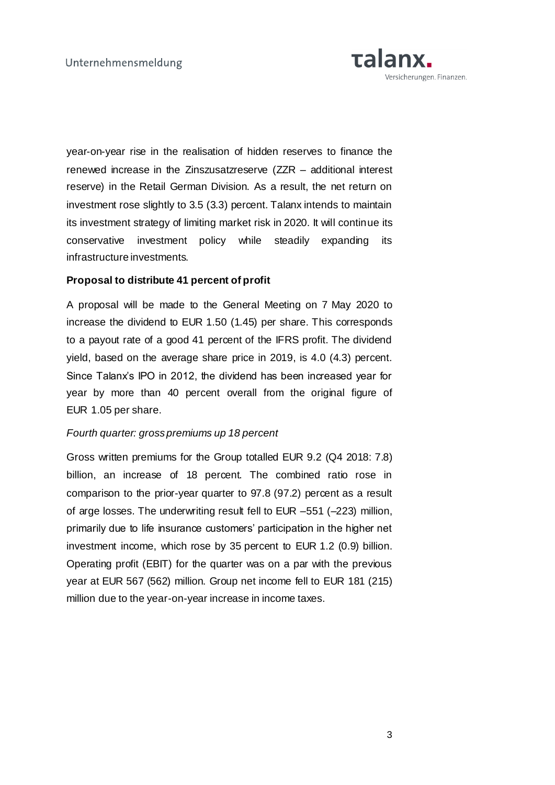

year-on-year rise in the realisation of hidden reserves to finance the renewed increase in the Zinszusatzreserve (ZZR – additional interest reserve) in the Retail German Division. As a result, the net return on investment rose slightly to 3.5 (3.3) percent. Talanx intends to maintain its investment strategy of limiting market risk in 2020. It will continue its conservative investment policy while steadily expanding its infrastructure investments.

## **Proposal to distribute 41 percent of profit**

A proposal will be made to the General Meeting on 7 May 2020 to increase the dividend to EUR 1.50 (1.45) per share. This corresponds to a payout rate of a good 41 percent of the IFRS profit. The dividend yield, based on the average share price in 2019, is 4.0 (4.3) percent. Since Talanx's IPO in 2012, the dividend has been increased year for year by more than 40 percent overall from the original figure of EUR 1.05 per share.

## *Fourth quarter: gross premiums up 18 percent*

Gross written premiums for the Group totalled EUR 9.2 (Q4 2018: 7.8) billion, an increase of 18 percent. The combined ratio rose in comparison to the prior-year quarter to 97.8 (97.2) percent as a result of arge losses. The underwriting result fell to EUR –551 (–223) million, primarily due to life insurance customers' participation in the higher net investment income, which rose by 35 percent to EUR 1.2 (0.9) billion. Operating profit (EBIT) for the quarter was on a par with the previous year at EUR 567 (562) million. Group net income fell to EUR 181 (215) million due to the year-on-year increase in income taxes.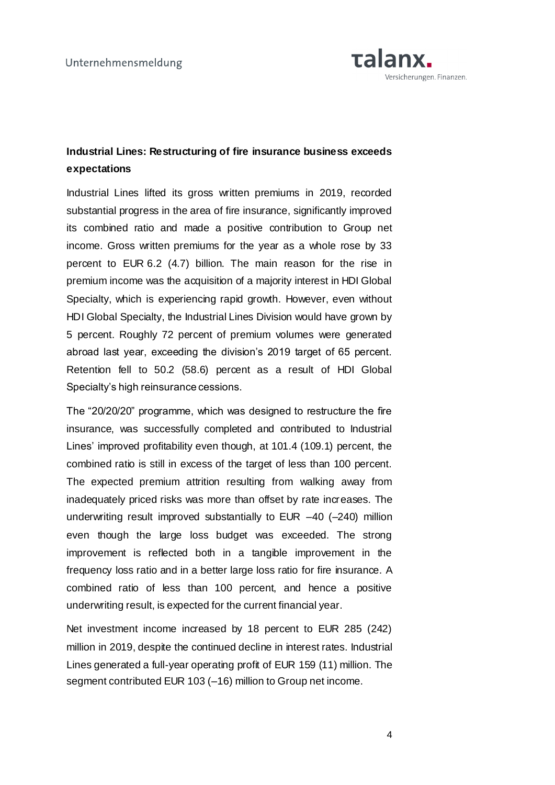

## **Industrial Lines: Restructuring of fire insurance business exceeds expectations**

Industrial Lines lifted its gross written premiums in 2019, recorded substantial progress in the area of fire insurance, significantly improved its combined ratio and made a positive contribution to Group net income. Gross written premiums for the year as a whole rose by 33 percent to EUR 6.2 (4.7) billion. The main reason for the rise in premium income was the acquisition of a majority interest in HDI Global Specialty, which is experiencing rapid growth. However, even without HDI Global Specialty, the Industrial Lines Division would have grown by 5 percent. Roughly 72 percent of premium volumes were generated abroad last year, exceeding the division's 2019 target of 65 percent. Retention fell to 50.2 (58.6) percent as a result of HDI Global Specialty's high reinsurance cessions.

The "20/20/20" programme, which was designed to restructure the fire insurance, was successfully completed and contributed to Industrial Lines' improved profitability even though, at 101.4 (109.1) percent, the combined ratio is still in excess of the target of less than 100 percent. The expected premium attrition resulting from walking away from inadequately priced risks was more than offset by rate increases. The underwriting result improved substantially to EUR –40 (–240) million even though the large loss budget was exceeded. The strong improvement is reflected both in a tangible improvement in the frequency loss ratio and in a better large loss ratio for fire insurance. A combined ratio of less than 100 percent, and hence a positive underwriting result, is expected for the current financial year.

Net investment income increased by 18 percent to EUR 285 (242) million in 2019, despite the continued decline in interest rates. Industrial Lines generated a full-year operating profit of EUR 159 (11) million. The segment contributed EUR 103 (–16) million to Group net income.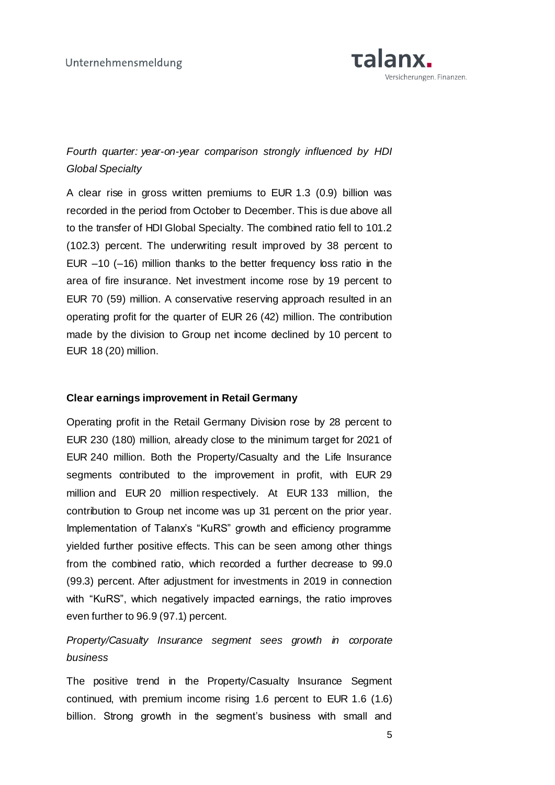

*Fourth quarter: year-on-year comparison strongly influenced by HDI Global Specialty*

A clear rise in gross written premiums to EUR 1.3 (0.9) billion was recorded in the period from October to December. This is due above all to the transfer of HDI Global Specialty. The combined ratio fell to 101.2 (102.3) percent. The underwriting result improved by 38 percent to EUR –10 (–16) million thanks to the better frequency loss ratio in the area of fire insurance. Net investment income rose by 19 percent to EUR 70 (59) million. A conservative reserving approach resulted in an operating profit for the quarter of EUR 26 (42) million. The contribution made by the division to Group net income declined by 10 percent to EUR 18 (20) million.

#### **Clear earnings improvement in Retail Germany**

Operating profit in the Retail Germany Division rose by 28 percent to EUR 230 (180) million, already close to the minimum target for 2021 of EUR 240 million. Both the Property/Casualty and the Life Insurance segments contributed to the improvement in profit, with EUR 29 million and EUR 20 million respectively. At EUR 133 million, the contribution to Group net income was up 31 percent on the prior year. Implementation of Talanx's "KuRS" growth and efficiency programme yielded further positive effects. This can be seen among other things from the combined ratio, which recorded a further decrease to 99.0 (99.3) percent. After adjustment for investments in 2019 in connection with "KuRS", which negatively impacted earnings, the ratio improves even further to 96.9 (97.1) percent.

# *Property/Casualty Insurance segment sees growth in corporate business*

The positive trend in the Property/Casualty Insurance Segment continued, with premium income rising 1.6 percent to EUR 1.6 (1.6) billion. Strong growth in the segment's business with small and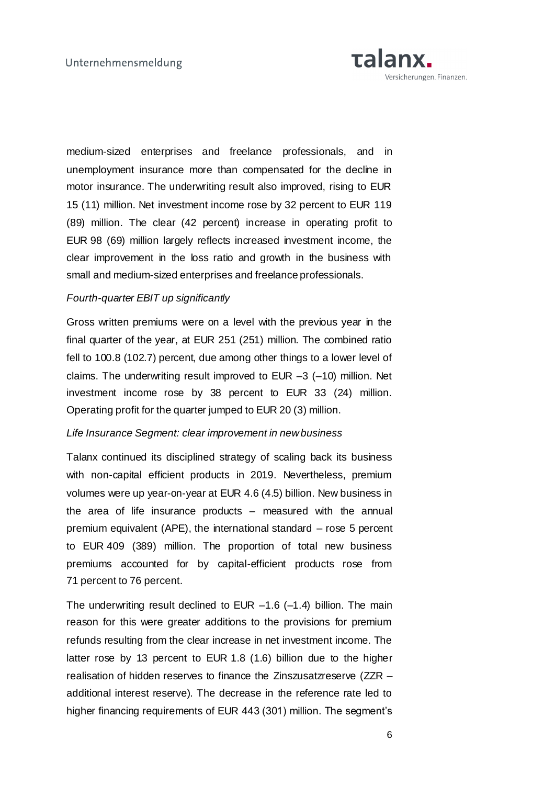

medium-sized enterprises and freelance professionals, and in unemployment insurance more than compensated for the decline in motor insurance. The underwriting result also improved, rising to EUR 15 (11) million. Net investment income rose by 32 percent to EUR 119 (89) million. The clear (42 percent) increase in operating profit to EUR 98 (69) million largely reflects increased investment income, the clear improvement in the loss ratio and growth in the business with small and medium-sized enterprises and freelance professionals.

### *Fourth-quarter EBIT up significantly*

Gross written premiums were on a level with the previous year in the final quarter of the year, at EUR 251 (251) million. The combined ratio fell to 100.8 (102.7) percent, due among other things to a lower level of claims. The underwriting result improved to EUR –3 (–10) million. Net investment income rose by 38 percent to EUR 33 (24) million. Operating profit for the quarter jumped to EUR 20 (3) million.

### *Life Insurance Segment: clear improvement in new business*

Talanx continued its disciplined strategy of scaling back its business with non-capital efficient products in 2019. Nevertheless, premium volumes were up year-on-year at EUR 4.6 (4.5) billion. New business in the area of life insurance products – measured with the annual premium equivalent (APE), the international standard – rose 5 percent to EUR 409 (389) million. The proportion of total new business premiums accounted for by capital-efficient products rose from 71 percent to 76 percent.

The underwriting result declined to EUR  $-1.6$  ( $-1.4$ ) billion. The main reason for this were greater additions to the provisions for premium refunds resulting from the clear increase in net investment income. The latter rose by 13 percent to EUR 1.8 (1.6) billion due to the higher realisation of hidden reserves to finance the Zinszusatzreserve (ZZR – additional interest reserve). The decrease in the reference rate led to higher financing requirements of EUR 443 (301) million. The segment's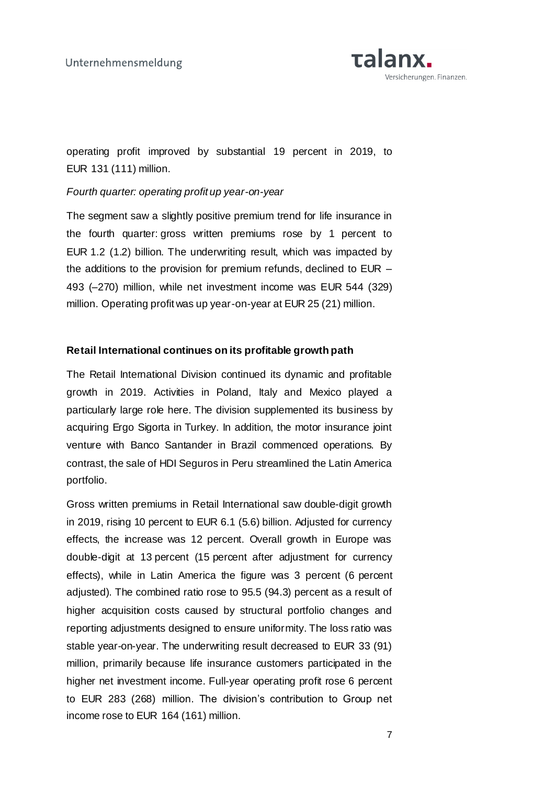

operating profit improved by substantial 19 percent in 2019, to EUR 131 (111) million.

### *Fourth quarter: operating profit up year-on-year*

The segment saw a slightly positive premium trend for life insurance in the fourth quarter: gross written premiums rose by 1 percent to EUR 1.2 (1.2) billion. The underwriting result, which was impacted by the additions to the provision for premium refunds, declined to EUR – 493 (–270) million, while net investment income was EUR 544 (329) million. Operating profit was up year-on-year at EUR 25 (21) million.

### **Retail International continues on its profitable growth path**

The Retail International Division continued its dynamic and profitable growth in 2019. Activities in Poland, Italy and Mexico played a particularly large role here. The division supplemented its business by acquiring Ergo Sigorta in Turkey. In addition, the motor insurance joint venture with Banco Santander in Brazil commenced operations. By contrast, the sale of HDI Seguros in Peru streamlined the Latin America portfolio.

Gross written premiums in Retail International saw double-digit growth in 2019, rising 10 percent to EUR 6.1 (5.6) billion. Adjusted for currency effects, the increase was 12 percent. Overall growth in Europe was double-digit at 13 percent (15 percent after adjustment for currency effects), while in Latin America the figure was 3 percent (6 percent adjusted). The combined ratio rose to 95.5 (94.3) percent as a result of higher acquisition costs caused by structural portfolio changes and reporting adjustments designed to ensure uniformity. The loss ratio was stable year-on-year. The underwriting result decreased to EUR 33 (91) million, primarily because life insurance customers participated in the higher net investment income. Full-year operating profit rose 6 percent to EUR 283 (268) million. The division's contribution to Group net income rose to EUR 164 (161) million.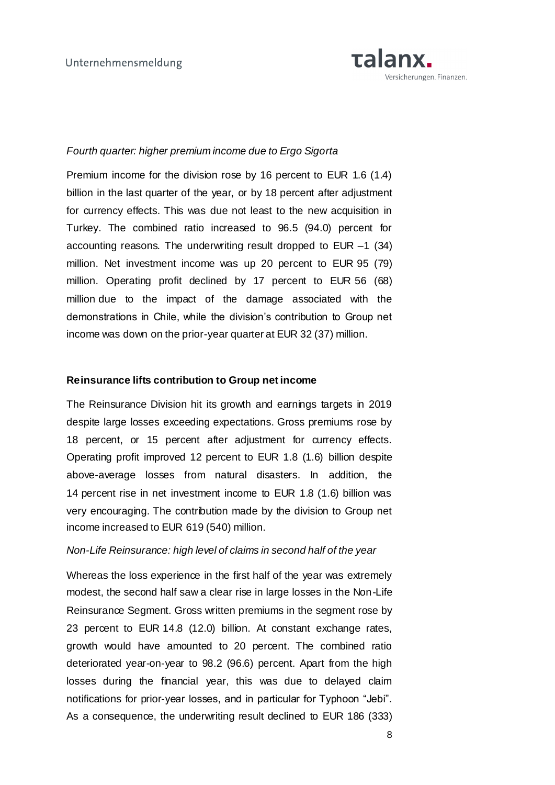

### *Fourth quarter: higher premium income due to Ergo Sigorta*

Premium income for the division rose by 16 percent to EUR 1.6 (1.4) billion in the last quarter of the year, or by 18 percent after adjustment for currency effects. This was due not least to the new acquisition in Turkey. The combined ratio increased to 96.5 (94.0) percent for accounting reasons. The underwriting result dropped to EUR –1 (34) million. Net investment income was up 20 percent to EUR 95 (79) million. Operating profit declined by 17 percent to EUR 56 (68) million due to the impact of the damage associated with the demonstrations in Chile, while the division's contribution to Group net income was down on the prior-year quarter at EUR 32 (37) million.

### **Reinsurance lifts contribution to Group net income**

The Reinsurance Division hit its growth and earnings targets in 2019 despite large losses exceeding expectations. Gross premiums rose by 18 percent, or 15 percent after adjustment for currency effects. Operating profit improved 12 percent to EUR 1.8 (1.6) billion despite above-average losses from natural disasters. In addition, the 14 percent rise in net investment income to EUR 1.8 (1.6) billion was very encouraging. The contribution made by the division to Group net income increased to EUR 619 (540) million.

#### *Non-Life Reinsurance: high level of claims in second half of the year*

Whereas the loss experience in the first half of the year was extremely modest, the second half saw a clear rise in large losses in the Non-Life Reinsurance Segment. Gross written premiums in the segment rose by 23 percent to EUR 14.8 (12.0) billion. At constant exchange rates, growth would have amounted to 20 percent. The combined ratio deteriorated year-on-year to 98.2 (96.6) percent. Apart from the high losses during the financial year, this was due to delayed claim notifications for prior-year losses, and in particular for Typhoon "Jebi". As a consequence, the underwriting result declined to EUR 186 (333)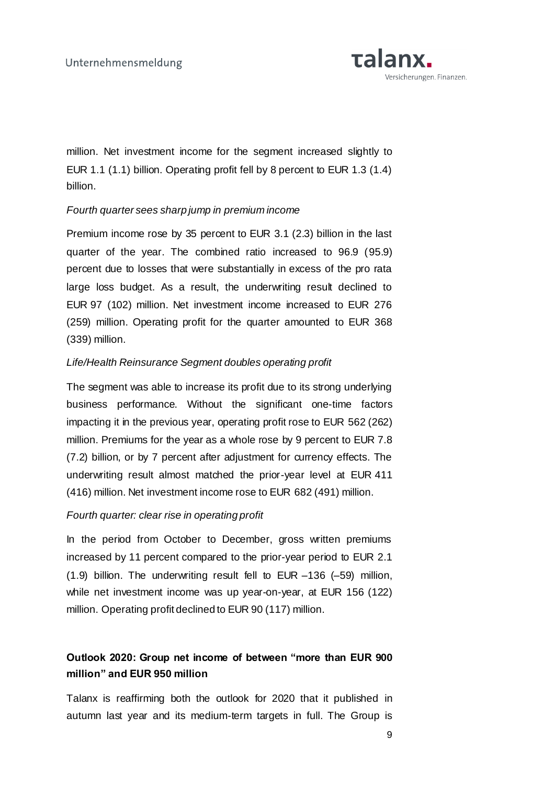

million. Net investment income for the segment increased slightly to EUR 1.1 (1.1) billion. Operating profit fell by 8 percent to EUR 1.3 (1.4) billion.

## *Fourth quarter sees sharp jump in premium income*

Premium income rose by 35 percent to EUR 3.1 (2.3) billion in the last quarter of the year. The combined ratio increased to 96.9 (95.9) percent due to losses that were substantially in excess of the pro rata large loss budget. As a result, the underwriting result declined to EUR 97 (102) million. Net investment income increased to EUR 276 (259) million. Operating profit for the quarter amounted to EUR 368 (339) million.

## *Life/Health Reinsurance Segment doubles operating profit*

The segment was able to increase its profit due to its strong underlying business performance. Without the significant one-time factors impacting it in the previous year, operating profit rose to EUR 562 (262) million. Premiums for the year as a whole rose by 9 percent to EUR 7.8 (7.2) billion, or by 7 percent after adjustment for currency effects. The underwriting result almost matched the prior-year level at EUR 411 (416) million. Net investment income rose to EUR 682 (491) million.

## *Fourth quarter: clear rise in operating profit*

In the period from October to December, gross written premiums increased by 11 percent compared to the prior-year period to EUR 2.1 (1.9) billion. The underwriting result fell to EUR –136 (–59) million, while net investment income was up year-on-year, at EUR 156 (122) million. Operating profit declined to EUR 90 (117) million.

## **Outlook 2020: Group net income of between "more than EUR 900 million" and EUR 950 million**

Talanx is reaffirming both the outlook for 2020 that it published in autumn last year and its medium-term targets in full. The Group is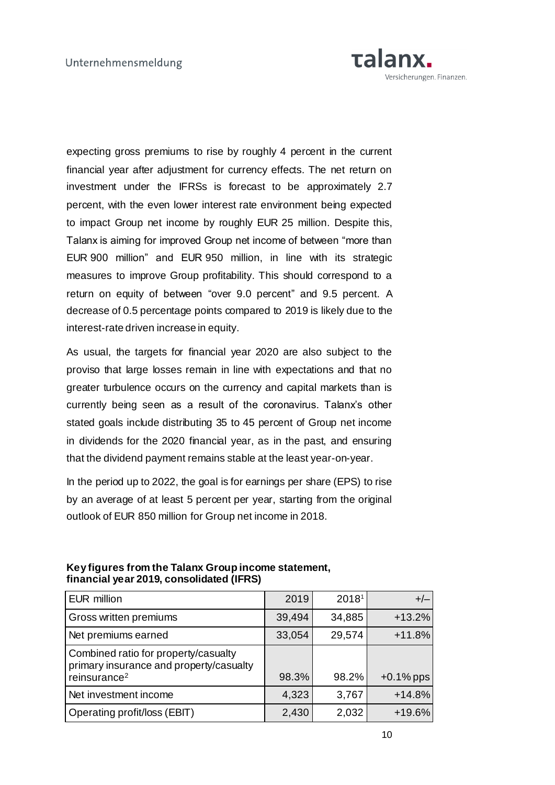

expecting gross premiums to rise by roughly 4 percent in the current financial year after adjustment for currency effects. The net return on investment under the IFRSs is forecast to be approximately 2.7 percent, with the even lower interest rate environment being expected to impact Group net income by roughly EUR 25 million. Despite this, Talanx is aiming for improved Group net income of between "more than EUR 900 million" and EUR 950 million, in line with its strategic measures to improve Group profitability. This should correspond to a return on equity of between "over 9.0 percent" and 9.5 percent. A decrease of 0.5 percentage points compared to 2019 is likely due to the interest-rate driven increase in equity.

As usual, the targets for financial year 2020 are also subject to the proviso that large losses remain in line with expectations and that no greater turbulence occurs on the currency and capital markets than is currently being seen as a result of the coronavirus. Talanx's other stated goals include distributing 35 to 45 percent of Group net income in dividends for the 2020 financial year, as in the past, and ensuring that the dividend payment remains stable at the least year-on-year.

In the period up to 2022, the goal is for earnings per share (EPS) to rise by an average of at least 5 percent per year, starting from the original outlook of EUR 850 million for Group net income in 2018.

| EUR million                                                                                                 | 2019   | 2018 <sup>1</sup> | $+/-$        |
|-------------------------------------------------------------------------------------------------------------|--------|-------------------|--------------|
| <b>Gross written premiums</b>                                                                               | 39,494 | 34,885            | $+13.2%$     |
| Net premiums earned                                                                                         | 33,054 | 29,574            | $+11.8%$     |
| Combined ratio for property/casualty<br>primary insurance and property/casualty<br>reinsurance <sup>2</sup> | 98.3%  | 98.2%             | $+0.1\%$ pps |
| Net investment income                                                                                       | 4,323  | 3,767             | $+14.8%$     |
| Operating profit/loss (EBIT)                                                                                | 2,430  | 2,032             | +19.6%       |

## **Key figures from the Talanx Group income statement, financial year 2019, consolidated (IFRS)**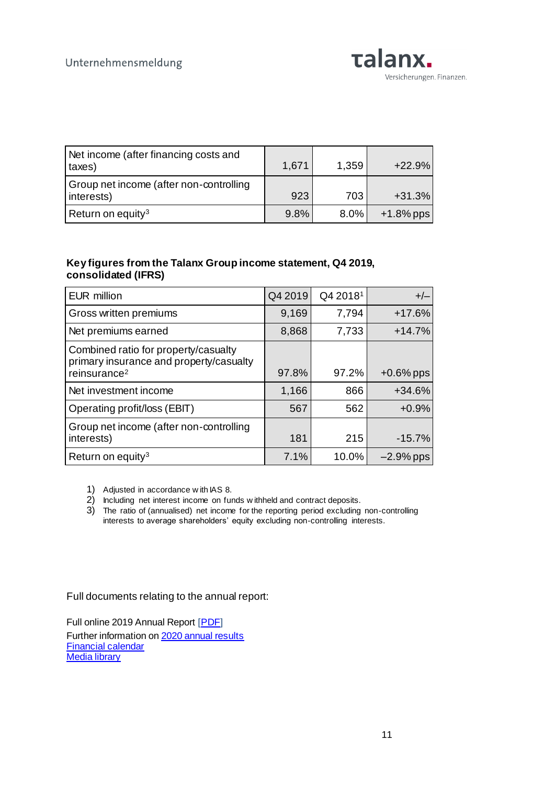

| Net income (after financing costs and<br>taxes)       | 1,671 | 1,359   | $+22.9%$     |
|-------------------------------------------------------|-------|---------|--------------|
| Group net income (after non-controlling<br>interests) | 923   | 703     | $+31.3%$     |
| Return on equity <sup>3</sup>                         | 9.8%  | $8.0\%$ | $+1.8\%$ pps |

## **Key figures from the Talanx Group income statement, Q4 2019, consolidated (IFRS)**

| EUR million                                                                                                 | Q4 2019 | Q4 2018 <sup>1</sup> | $+/-$        |
|-------------------------------------------------------------------------------------------------------------|---------|----------------------|--------------|
| Gross written premiums                                                                                      | 9,169   | 7,794                | $+17.6%$     |
| Net premiums earned                                                                                         | 8,868   | 7,733                | $+14.7%$     |
| Combined ratio for property/casualty<br>primary insurance and property/casualty<br>reinsurance <sup>2</sup> | 97.8%   | 97.2%                | $+0.6\%$ pps |
| Net investment income                                                                                       | 1,166   | 866                  | $+34.6%$     |
| Operating profit/loss (EBIT)                                                                                | 567     | 562                  | $+0.9%$      |
| Group net income (after non-controlling<br>interests)                                                       | 181     | 215                  | $-15.7%$     |
| Return on equity <sup>3</sup>                                                                               | 7.1%    | 10.0%                | $-2.9\%$ pps |

1) Adjusted in accordance w ith IAS 8.

- 2) Including net interest income on funds w ithheld and contract deposits.
- 3) The ratio of (annualised) net income for the reporting period excluding non-controlling interests to average shareholders' equity excluding non-controlling interests.

Full documents relating to the annual report:

Full online 2019 Annual Report [\[PDF](https://www.talanx.com/~/media/Files/T/Talanx/FY/2019/2019_tx_konzern_en.pdf)] Further information o[n 2020 annual results](https://www.talanx.com/investor-relations/presentations-and-events/disclosure/2020.aspx?sc_lang=en) [Financial calendar](https://www.talanx.com/investor-relations/finanzkalender/termine.aspx?sc_lang=en) [Media library](https://mediathek.talanx.de/)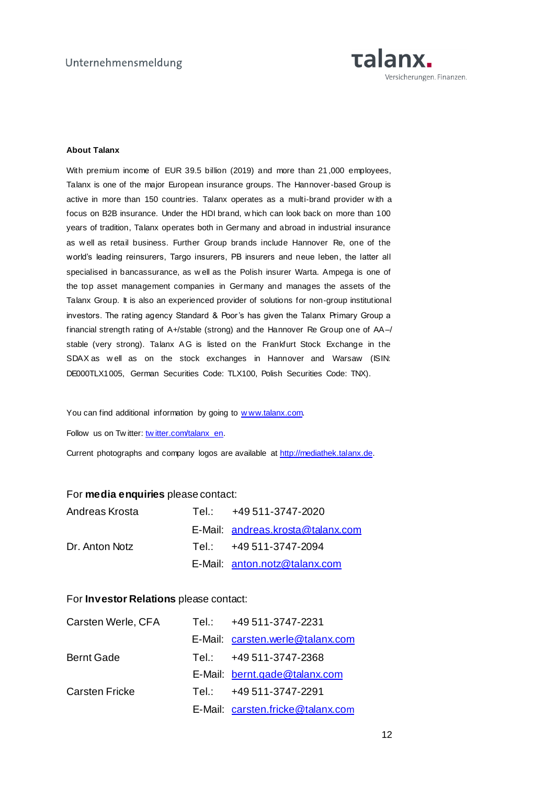

#### **About Talanx**

With premium income of EUR 39.5 billion (2019) and more than 21 ,000 employees, Talanx is one of the major European insurance groups. The Hannover-based Group is active in more than 150 countries. Talanx operates as a multi-brand provider w ith a focus on B2B insurance. Under the HDI brand, w hich can look back on more than 100 years of tradition, Talanx operates both in Germany and abroad in industrial insurance as w ell as retail business. Further Group brands include Hannover Re, one of the world's leading reinsurers, Targo insurers, PB insurers and neue leben, the latter all specialised in bancassurance, as w ell as the Polish insurer Warta. Ampega is one of the top asset management companies in Germany and manages the assets of the Talanx Group. It is also an experienced provider of solutions for non-group institutional investors. The rating agency Standard & Poor's has given the Talanx Primary Group a financial strength rating of A+/stable (strong) and the Hannover Re Group one of AA–/ stable (very strong). Talanx AG is listed on the Frankfurt Stock Exchange in the SDAX as w ell as on the stock exchanges in Hannover and Warsaw (ISIN: DE000TLX1005, German Securities Code: TLX100, Polish Securities Code: TNX).

You can find additional information by going to www.talanx.com.

Follow us on Tw itter: [tw itter.com/talanx\\_en.](https://twitter.com/talanx_en)

Current photographs and company logos are available at [http://mediathek.talanx.de.](http://mediathek.talanx.de/)

#### For **media enquiries** please contact:

| Andreas Krosta | Tel.: +49 511-3747-2020           |
|----------------|-----------------------------------|
|                | E-Mail: andreas.krosta@talanx.com |
| Dr. Anton Notz | Tel.: +49 511-3747-2094           |
|                | E-Mail: anton.notz@talanx.com     |

#### For **Investor Relations** please contact:

| Carsten Werle, CFA    | Tel.: Tel | +49 511-3747-2231                 |
|-----------------------|-----------|-----------------------------------|
|                       |           | E-Mail: carsten.werle@talanx.com  |
| <b>Bernt Gade</b>     |           | Tel.: $+49511-3747-2368$          |
|                       |           | E-Mail: bernt.gade@talanx.com     |
| <b>Carsten Fricke</b> |           | Tel.: +49 511-3747-2291           |
|                       |           | E-Mail: carsten.fricke@talanx.com |